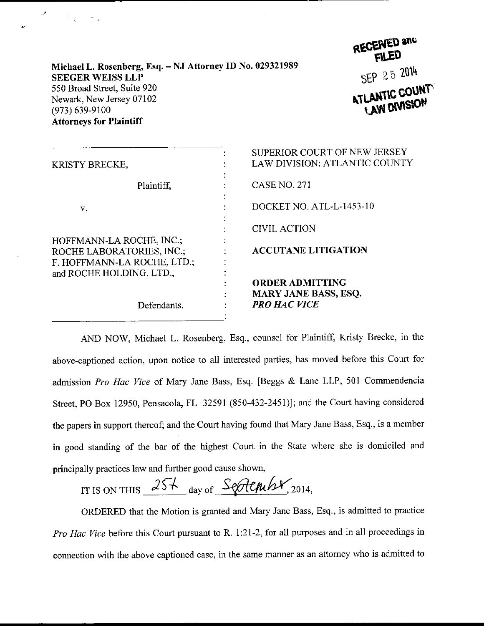## Michael L. Rosenberg, Esq. - NJ Attorney ID No. <sup>029321989</sup> SEEGER WEISS LLP 550 Broad Street, Suite 920 Newark, New Jersey 07102 (e73) 639-9100 Attorneys for Plaintiff

RECENED and SEP 25 2014 LAW DIVISION

| <b>SUPERIOR COURT OF NEW JERSEY</b><br><b>LAW DIVISION: ATLANTIC COUNTY</b> |
|-----------------------------------------------------------------------------|
| <b>CASE NO. 271</b>                                                         |
| DOCKET NO. ATL-L-1453-10                                                    |
| <b>CIVIL ACTION</b>                                                         |
| <b>ACCUTANE LITIGATION</b>                                                  |
| <b>ORDER ADMITTING</b><br>MARY JANE BASS, ESO.<br><b>PRO HAC VICE</b>       |
|                                                                             |

AND NOW, Michael L. Rosenberg, Esq., counsel for Plaintiff, Kristy Brecke, in the above-captioned action, upon notice to all interested parties, has moved before this Court for admission *Pro Hac Vice* of Mary Jane Bass, Esq. [Beggs  $\&$  Lane LLP, 501 Commendencia Street, PO Box 12950, Pensacola, FL 32591 (850-432-2451)); and the Court having considered the papers in support thereof; and the Court having found that Mary Jane Bass, Esq., is a member in good standing of the bar of the highest Court in the State where she is domiciled and principally practices law and further good cause shown,

IT IS ON THIS  $25\frac{k_0}{\log n}$  day of  ${\frac{\text{September}}{2014}}$ ,

ORDERED that the Motion is granted and Mary Jane Bass, Esq., is admitted to practice Pro Hac Vice before this Court pursuant to R. 1:21-2, for all purposes and in all proceedings in connection with the above captioned case, in the same manner as an attorney who is admitted to